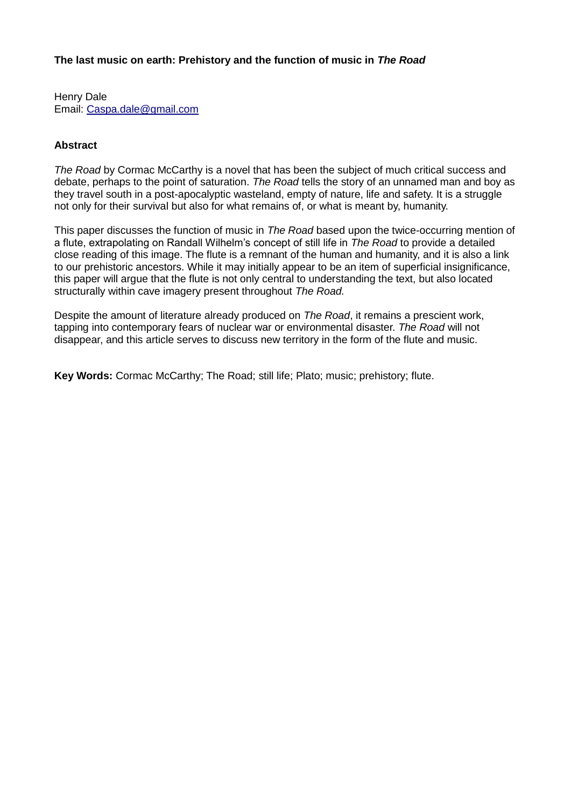### **The last music on earth: Prehistory and the function of music in** *The Road*

Henry Dale Email: [Caspa.dale@gmail.com](mailto:Caspa.dale@gmail.com)

### **Abstract**

*The Road* by Cormac McCarthy is a novel that has been the subject of much critical success and debate, perhaps to the point of saturation. *The Road* tells the story of an unnamed man and boy as they travel south in a post-apocalyptic wasteland, empty of nature, life and safety. It is a struggle not only for their survival but also for what remains of, or what is meant by, humanity.

This paper discusses the function of music in *The Road* based upon the twice-occurring mention of a flute, extrapolating on Randall Wilhelm's concept of still life in *The Road* to provide a detailed close reading of this image. The flute is a remnant of the human and humanity, and it is also a link to our prehistoric ancestors. While it may initially appear to be an item of superficial insignificance, this paper will argue that the flute is not only central to understanding the text, but also located structurally within cave imagery present throughout *The Road.* 

Despite the amount of literature already produced on *The Road*, it remains a prescient work, tapping into contemporary fears of nuclear war or environmental disaster. *The Road* will not disappear, and this article serves to discuss new territory in the form of the flute and music.

**Key Words:** Cormac McCarthy; The Road; still life; Plato; music; prehistory; flute.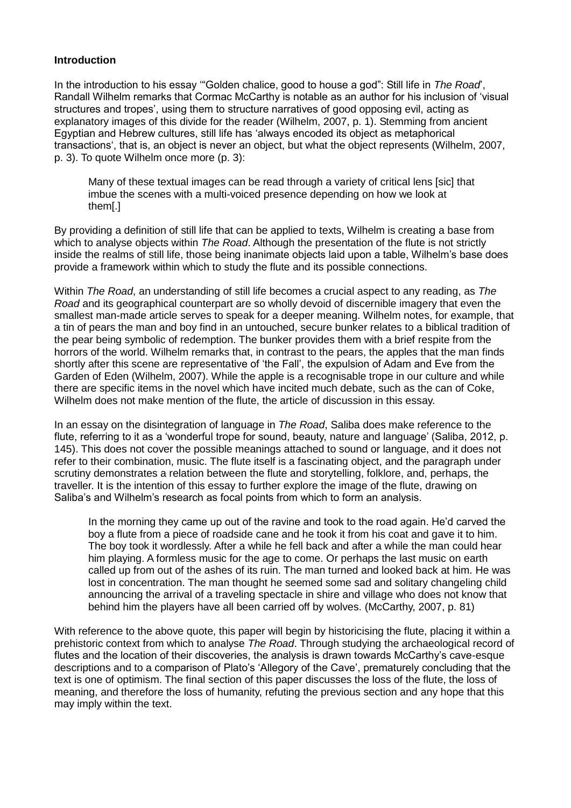#### **Introduction**

In the introduction to his essay '"Golden chalice, good to house a god": Still life in *The Road*', Randall Wilhelm remarks that Cormac McCarthy is notable as an author for his inclusion of 'visual structures and tropes', using them to structure narratives of good opposing evil, acting as explanatory images of this divide for the reader (Wilhelm, 2007, p. 1). Stemming from ancient Egyptian and Hebrew cultures, still life has 'always encoded its object as metaphorical transactions', that is, an object is never an object, but what the object represents (Wilhelm, 2007, p. 3). To quote Wilhelm once more (p. 3):

Many of these textual images can be read through a variety of critical lens [sic] that imbue the scenes with a multi-voiced presence depending on how we look at them[.]

By providing a definition of still life that can be applied to texts, Wilhelm is creating a base from which to analyse objects within *The Road*. Although the presentation of the flute is not strictly inside the realms of still life, those being inanimate objects laid upon a table, Wilhelm's base does provide a framework within which to study the flute and its possible connections.

Within *The Road*, an understanding of still life becomes a crucial aspect to any reading, as *The Road* and its geographical counterpart are so wholly devoid of discernible imagery that even the smallest man-made article serves to speak for a deeper meaning. Wilhelm notes, for example, that a tin of pears the man and boy find in an untouched, secure bunker relates to a biblical tradition of the pear being symbolic of redemption. The bunker provides them with a brief respite from the horrors of the world. Wilhelm remarks that, in contrast to the pears, the apples that the man finds shortly after this scene are representative of 'the Fall', the expulsion of Adam and Eve from the Garden of Eden (Wilhelm, 2007). While the apple is a recognisable trope in our culture and while there are specific items in the novel which have incited much debate, such as the can of Coke, Wilhelm does not make mention of the flute, the article of discussion in this essay.

In an essay on the disintegration of language in *The Road*, Saliba does make reference to the flute, referring to it as a 'wonderful trope for sound, beauty, nature and language' (Saliba, 2012, p. 145). This does not cover the possible meanings attached to sound or language, and it does not refer to their combination, music. The flute itself is a fascinating object, and the paragraph under scrutiny demonstrates a relation between the flute and storytelling, folklore, and, perhaps, the traveller. It is the intention of this essay to further explore the image of the flute, drawing on Saliba's and Wilhelm's research as focal points from which to form an analysis.

In the morning they came up out of the ravine and took to the road again. He'd carved the boy a flute from a piece of roadside cane and he took it from his coat and gave it to him. The boy took it wordlessly. After a while he fell back and after a while the man could hear him playing. A formless music for the age to come. Or perhaps the last music on earth called up from out of the ashes of its ruin. The man turned and looked back at him. He was lost in concentration. The man thought he seemed some sad and solitary changeling child announcing the arrival of a traveling spectacle in shire and village who does not know that behind him the players have all been carried off by wolves. (McCarthy, 2007, p. 81)

With reference to the above quote, this paper will begin by historicising the flute, placing it within a prehistoric context from which to analyse *The Road*. Through studying the archaeological record of flutes and the location of their discoveries, the analysis is drawn towards McCarthy's cave-esque descriptions and to a comparison of Plato's 'Allegory of the Cave', prematurely concluding that the text is one of optimism. The final section of this paper discusses the loss of the flute, the loss of meaning, and therefore the loss of humanity, refuting the previous section and any hope that this may imply within the text.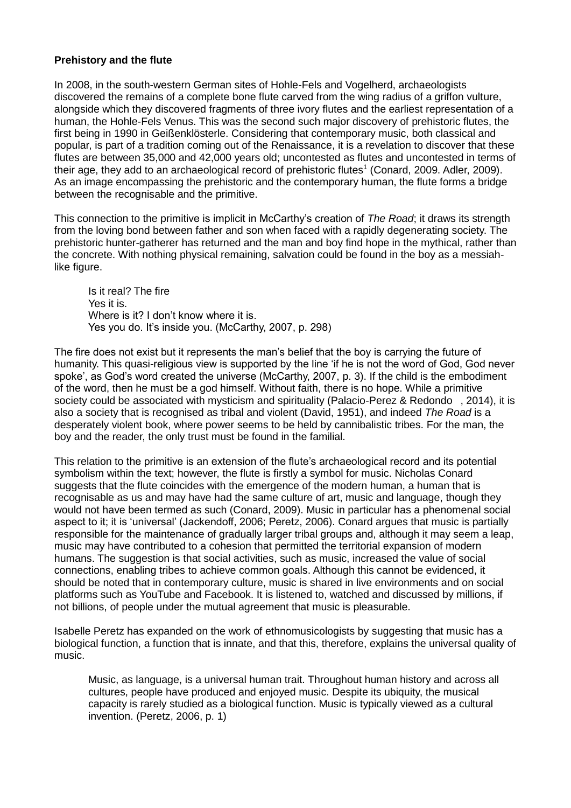### **Prehistory and the flute**

In 2008, in the south-western German sites of Hohle-Fels and Vogelherd, archaeologists discovered the remains of a complete bone flute carved from the wing radius of a griffon vulture, alongside which they discovered fragments of three ivory flutes and the earliest representation of a human, the Hohle-Fels Venus. This was the second such major discovery of prehistoric flutes, the first being in 1990 in Geißenklösterle. Considering that contemporary music, both classical and popular, is part of a tradition coming out of the Renaissance, it is a revelation to discover that these flutes are between 35,000 and 42,000 years old; uncontested as flutes and uncontested in terms of their age, they add to an archaeological record of prehistoric flutes<sup>1</sup> (Conard, 2009. Adler, 2009). As an image encompassing the prehistoric and the contemporary human, the flute forms a bridge between the recognisable and the primitive.

This connection to the primitive is implicit in McCarthy's creation of *The Road*; it draws its strength from the loving bond between father and son when faced with a rapidly degenerating society. The prehistoric hunter-gatherer has returned and the man and boy find hope in the mythical, rather than the concrete. With nothing physical remaining, salvation could be found in the boy as a messiahlike figure.

Is it real? The fire Yes it is. Where is it? I don't know where it is. Yes you do. It's inside you. (McCarthy, 2007, p. 298)

The fire does not exist but it represents the man's belief that the boy is carrying the future of humanity. This quasi-religious view is supported by the line 'if he is not the word of God, God never spoke', as God's word created the universe (McCarthy, 2007, p. 3). If the child is the embodiment of the word, then he must be a god himself. Without faith, there is no hope. While a primitive society could be associated with mysticism and spirituality (Palacio-Perez & Redondo , 2014), it is also a society that is recognised as tribal and violent (David, 1951), and indeed *The Road* is a desperately violent book, where power seems to be held by cannibalistic tribes. For the man, the boy and the reader, the only trust must be found in the familial.

This relation to the primitive is an extension of the flute's archaeological record and its potential symbolism within the text; however, the flute is firstly a symbol for music. Nicholas Conard suggests that the flute coincides with the emergence of the modern human, a human that is recognisable as us and may have had the same culture of art, music and language, though they would not have been termed as such (Conard, 2009). Music in particular has a phenomenal social aspect to it; it is 'universal' (Jackendoff, 2006; Peretz, 2006). Conard argues that music is partially responsible for the maintenance of gradually larger tribal groups and, although it may seem a leap, music may have contributed to a cohesion that permitted the territorial expansion of modern humans. The suggestion is that social activities, such as music, increased the value of social connections, enabling tribes to achieve common goals. Although this cannot be evidenced, it should be noted that in contemporary culture, music is shared in live environments and on social platforms such as YouTube and Facebook. It is listened to, watched and discussed by millions, if not billions, of people under the mutual agreement that music is pleasurable.

Isabelle Peretz has expanded on the work of ethnomusicologists by suggesting that music has a biological function, a function that is innate, and that this, therefore, explains the universal quality of music.

Music, as language, is a universal human trait. Throughout human history and across all cultures, people have produced and enjoyed music. Despite its ubiquity, the musical capacity is rarely studied as a biological function. Music is typically viewed as a cultural invention. (Peretz, 2006, p. 1)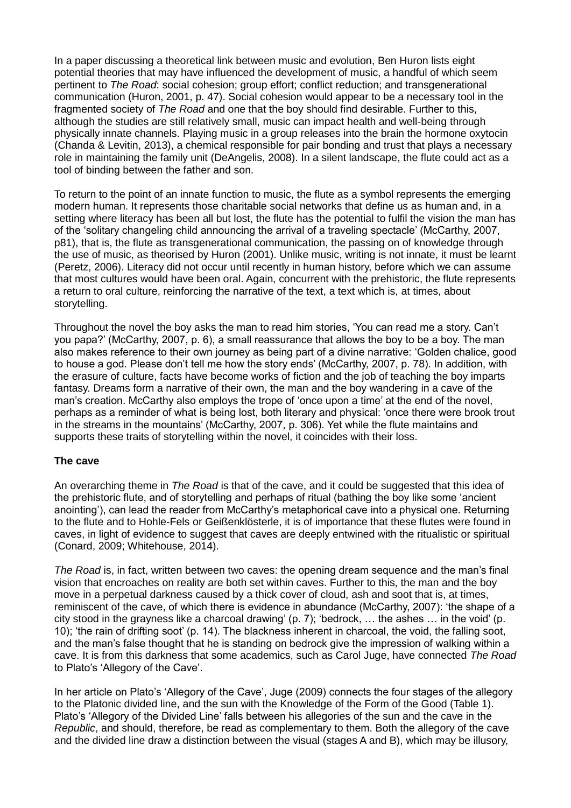In a paper discussing a theoretical link between music and evolution, Ben Huron lists eight potential theories that may have influenced the development of music, a handful of which seem pertinent to *The Road*: social cohesion; group effort; conflict reduction; and transgenerational communication (Huron, 2001, p. 47). Social cohesion would appear to be a necessary tool in the fragmented society of *The Road* and one that the boy should find desirable. Further to this, although the studies are still relatively small, music can impact health and well-being through physically innate channels. Playing music in a group releases into the brain the hormone oxytocin (Chanda & Levitin, 2013), a chemical responsible for pair bonding and trust that plays a necessary role in maintaining the family unit (DeAngelis, 2008). In a silent landscape, the flute could act as a tool of binding between the father and son.

To return to the point of an innate function to music, the flute as a symbol represents the emerging modern human. It represents those charitable social networks that define us as human and, in a setting where literacy has been all but lost, the flute has the potential to fulfil the vision the man has of the 'solitary changeling child announcing the arrival of a traveling spectacle' (McCarthy, 2007, p81), that is, the flute as transgenerational communication, the passing on of knowledge through the use of music, as theorised by Huron (2001). Unlike music, writing is not innate, it must be learnt (Peretz, 2006). Literacy did not occur until recently in human history, before which we can assume that most cultures would have been oral. Again, concurrent with the prehistoric, the flute represents a return to oral culture, reinforcing the narrative of the text, a text which is, at times, about storytelling.

Throughout the novel the boy asks the man to read him stories, 'You can read me a story. Can't you papa?' (McCarthy, 2007, p. 6), a small reassurance that allows the boy to be a boy. The man also makes reference to their own journey as being part of a divine narrative: 'Golden chalice, good to house a god. Please don't tell me how the story ends' (McCarthy, 2007, p. 78). In addition, with the erasure of culture, facts have become works of fiction and the job of teaching the boy imparts fantasy. Dreams form a narrative of their own, the man and the boy wandering in a cave of the man's creation. McCarthy also employs the trope of 'once upon a time' at the end of the novel, perhaps as a reminder of what is being lost, both literary and physical: 'once there were brook trout in the streams in the mountains' (McCarthy, 2007, p. 306). Yet while the flute maintains and supports these traits of storytelling within the novel, it coincides with their loss.

### **The cave**

An overarching theme in *The Road* is that of the cave, and it could be suggested that this idea of the prehistoric flute, and of storytelling and perhaps of ritual (bathing the boy like some 'ancient anointing'), can lead the reader from McCarthy's metaphorical cave into a physical one. Returning to the flute and to Hohle-Fels or Geißenklösterle, it is of importance that these flutes were found in caves, in light of evidence to suggest that caves are deeply entwined with the ritualistic or spiritual (Conard, 2009; Whitehouse, 2014).

*The Road* is, in fact, written between two caves: the opening dream sequence and the man's final vision that encroaches on reality are both set within caves. Further to this, the man and the boy move in a perpetual darkness caused by a thick cover of cloud, ash and soot that is, at times, reminiscent of the cave, of which there is evidence in abundance (McCarthy, 2007): 'the shape of a city stood in the grayness like a charcoal drawing' (p. 7); 'bedrock, … the ashes … in the void' (p. 10); 'the rain of drifting soot' (p. 14). The blackness inherent in charcoal, the void, the falling soot, and the man's false thought that he is standing on bedrock give the impression of walking within a cave. It is from this darkness that some academics, such as Carol Juge, have connected *The Road*  to Plato's 'Allegory of the Cave'.

In her article on Plato's 'Allegory of the Cave', Juge (2009) connects the four stages of the allegory to the Platonic divided line, and the sun with the Knowledge of the Form of the Good (Table 1). Plato's 'Allegory of the Divided Line' falls between his allegories of the sun and the cave in the *Republic*, and should, therefore, be read as complementary to them. Both the allegory of the cave and the divided line draw a distinction between the visual (stages A and B), which may be illusory,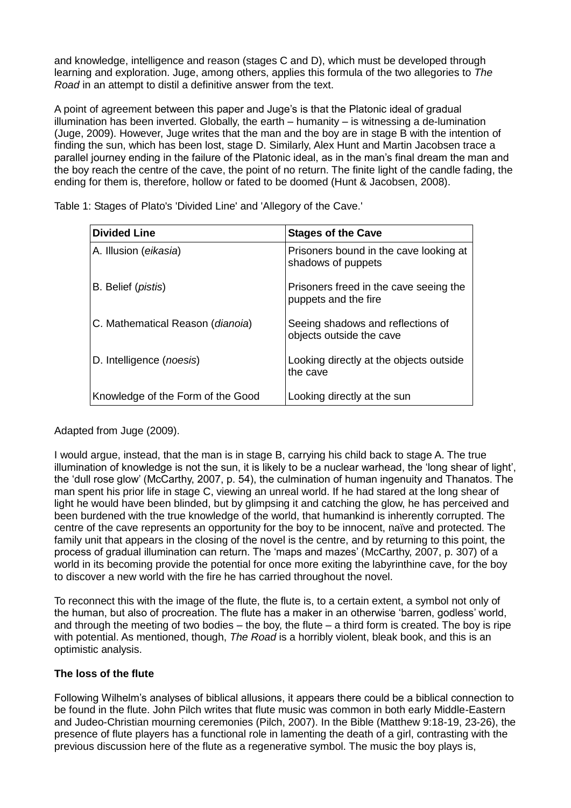and knowledge, intelligence and reason (stages C and D), which must be developed through learning and exploration. Juge, among others, applies this formula of the two allegories to *The Road* in an attempt to distil a definitive answer from the text.

A point of agreement between this paper and Juge's is that the Platonic ideal of gradual illumination has been inverted. Globally, the earth – humanity – is witnessing a de-lumination (Juge, 2009). However, Juge writes that the man and the boy are in stage B with the intention of finding the sun, which has been lost, stage D. Similarly, Alex Hunt and Martin Jacobsen trace a parallel journey ending in the failure of the Platonic ideal, as in the man's final dream the man and the boy reach the centre of the cave, the point of no return. The finite light of the candle fading, the ending for them is, therefore, hollow or fated to be doomed (Hunt & Jacobsen, 2008).

| <b>Divided Line</b>               | <b>Stages of the Cave</b>                                      |
|-----------------------------------|----------------------------------------------------------------|
| A. Illusion ( <i>eikasia</i> )    | Prisoners bound in the cave looking at<br>shadows of puppets   |
| B. Belief ( <i>pistis</i> )       | Prisoners freed in the cave seeing the<br>puppets and the fire |
| C. Mathematical Reason (dianoia)  | Seeing shadows and reflections of<br>objects outside the cave  |
| D. Intelligence ( <i>noesis</i> ) | Looking directly at the objects outside<br>the cave            |
| Knowledge of the Form of the Good | Looking directly at the sun                                    |

Table 1: Stages of Plato's 'Divided Line' and 'Allegory of the Cave.'

Adapted from Juge (2009).

I would argue, instead, that the man is in stage B, carrying his child back to stage A. The true illumination of knowledge is not the sun, it is likely to be a nuclear warhead, the 'long shear of light', the 'dull rose glow' (McCarthy, 2007, p. 54), the culmination of human ingenuity and Thanatos. The man spent his prior life in stage C, viewing an unreal world. If he had stared at the long shear of light he would have been blinded, but by glimpsing it and catching the glow, he has perceived and been burdened with the true knowledge of the world, that humankind is inherently corrupted. The centre of the cave represents an opportunity for the boy to be innocent, naïve and protected. The family unit that appears in the closing of the novel is the centre, and by returning to this point, the process of gradual illumination can return. The 'maps and mazes' (McCarthy, 2007, p. 307) of a world in its becoming provide the potential for once more exiting the labyrinthine cave, for the boy to discover a new world with the fire he has carried throughout the novel.

To reconnect this with the image of the flute, the flute is, to a certain extent, a symbol not only of the human, but also of procreation. The flute has a maker in an otherwise 'barren, godless' world, and through the meeting of two bodies – the boy, the flute – a third form is created. The boy is ripe with potential. As mentioned, though, *The Road* is a horribly violent, bleak book, and this is an optimistic analysis.

# **The loss of the flute**

Following Wilhelm's analyses of biblical allusions, it appears there could be a biblical connection to be found in the flute. John Pilch writes that flute music was common in both early Middle-Eastern and Judeo-Christian mourning ceremonies (Pilch, 2007). In the Bible (Matthew 9:18-19, 23-26), the presence of flute players has a functional role in lamenting the death of a girl, contrasting with the previous discussion here of the flute as a regenerative symbol. The music the boy plays is,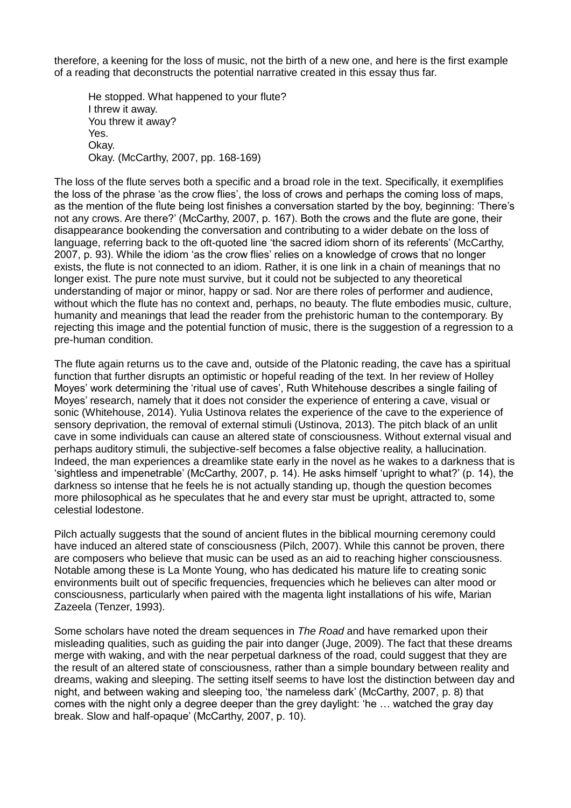therefore, a keening for the loss of music, not the birth of a new one, and here is the first example of a reading that deconstructs the potential narrative created in this essay thus far.

He stopped. What happened to your flute? I threw it away. You threw it away? Yes. Okay. Okay. (McCarthy, 2007, pp. 168-169)

The loss of the flute serves both a specific and a broad role in the text. Specifically, it exemplifies the loss of the phrase 'as the crow flies', the loss of crows and perhaps the coming loss of maps, as the mention of the flute being lost finishes a conversation started by the boy, beginning: 'There's not any crows. Are there?' (McCarthy, 2007, p. 167). Both the crows and the flute are gone, their disappearance bookending the conversation and contributing to a wider debate on the loss of language, referring back to the oft-quoted line 'the sacred idiom shorn of its referents' (McCarthy, 2007, p. 93). While the idiom 'as the crow flies' relies on a knowledge of crows that no longer exists, the flute is not connected to an idiom. Rather, it is one link in a chain of meanings that no longer exist. The pure note must survive, but it could not be subjected to any theoretical understanding of major or minor, happy or sad. Nor are there roles of performer and audience, without which the flute has no context and, perhaps, no beauty. The flute embodies music, culture, humanity and meanings that lead the reader from the prehistoric human to the contemporary. By rejecting this image and the potential function of music, there is the suggestion of a regression to a pre-human condition.

The flute again returns us to the cave and, outside of the Platonic reading, the cave has a spiritual function that further disrupts an optimistic or hopeful reading of the text. In her review of Holley Moyes' work determining the 'ritual use of caves', Ruth Whitehouse describes a single failing of Moyes' research, namely that it does not consider the experience of entering a cave, visual or sonic (Whitehouse, 2014). Yulia Ustinova relates the experience of the cave to the experience of sensory deprivation, the removal of external stimuli (Ustinova, 2013). The pitch black of an unlit cave in some individuals can cause an altered state of consciousness. Without external visual and perhaps auditory stimuli, the subjective-self becomes a false objective reality, a hallucination. Indeed, the man experiences a dreamlike state early in the novel as he wakes to a darkness that is 'sightless and impenetrable' (McCarthy, 2007, p. 14). He asks himself 'upright to what?' (p. 14), the darkness so intense that he feels he is not actually standing up, though the question becomes more philosophical as he speculates that he and every star must be upright, attracted to, some celestial lodestone.

Pilch actually suggests that the sound of ancient flutes in the biblical mourning ceremony could have induced an altered state of consciousness (Pilch, 2007). While this cannot be proven, there are composers who believe that music can be used as an aid to reaching higher consciousness. Notable among these is La Monte Young, who has dedicated his mature life to creating sonic environments built out of specific frequencies, frequencies which he believes can alter mood or consciousness, particularly when paired with the magenta light installations of his wife, Marian Zazeela (Tenzer, 1993).

Some scholars have noted the dream sequences in *The Road* and have remarked upon their misleading qualities, such as guiding the pair into danger (Juge, 2009). The fact that these dreams merge with waking, and with the near perpetual darkness of the road, could suggest that they are the result of an altered state of consciousness, rather than a simple boundary between reality and dreams, waking and sleeping. The setting itself seems to have lost the distinction between day and night, and between waking and sleeping too, 'the nameless dark' (McCarthy, 2007, p. 8) that comes with the night only a degree deeper than the grey daylight: 'he … watched the gray day break. Slow and half-opaque' (McCarthy, 2007, p. 10).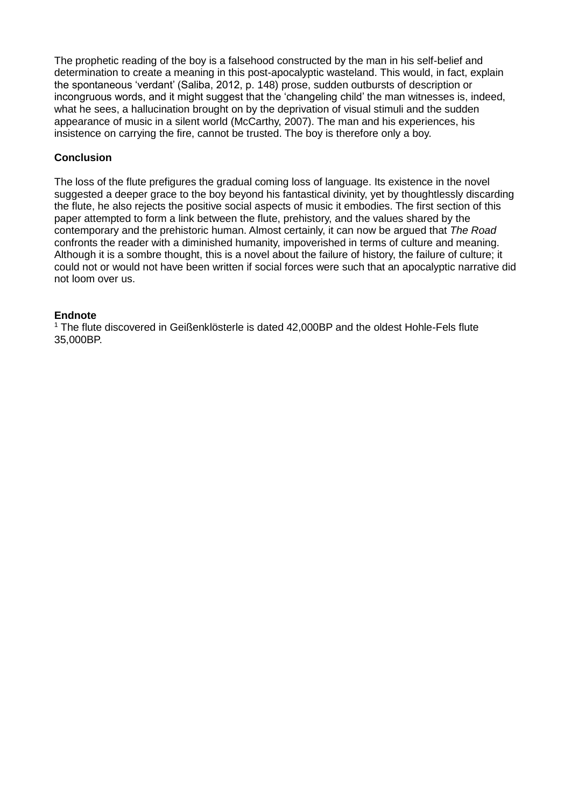The prophetic reading of the boy is a falsehood constructed by the man in his self-belief and determination to create a meaning in this post-apocalyptic wasteland. This would, in fact, explain the spontaneous 'verdant' (Saliba, 2012, p. 148) prose, sudden outbursts of description or incongruous words, and it might suggest that the 'changeling child' the man witnesses is, indeed, what he sees, a hallucination brought on by the deprivation of visual stimuli and the sudden appearance of music in a silent world (McCarthy, 2007). The man and his experiences, his insistence on carrying the fire, cannot be trusted. The boy is therefore only a boy.

# **Conclusion**

The loss of the flute prefigures the gradual coming loss of language. Its existence in the novel suggested a deeper grace to the boy beyond his fantastical divinity, yet by thoughtlessly discarding the flute, he also rejects the positive social aspects of music it embodies. The first section of this paper attempted to form a link between the flute, prehistory, and the values shared by the contemporary and the prehistoric human. Almost certainly, it can now be argued that *The Road*  confronts the reader with a diminished humanity, impoverished in terms of culture and meaning. Although it is a sombre thought, this is a novel about the failure of history, the failure of culture; it could not or would not have been written if social forces were such that an apocalyptic narrative did not loom over us.

## **Endnote**

<sup>1</sup> The flute discovered in Geißenklösterle is dated 42,000BP and the oldest Hohle-Fels flute 35,000BP.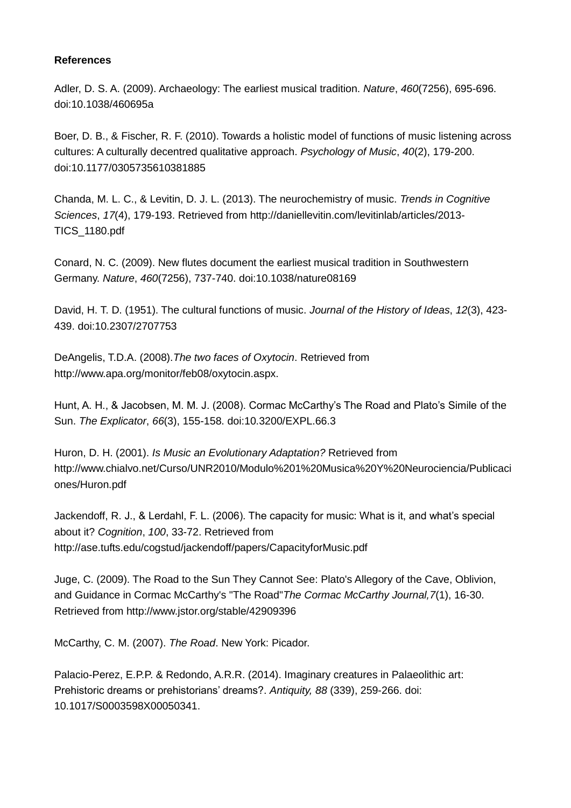### **References**

Adler, D. S. A. (2009). Archaeology: The earliest musical tradition. *Nature*, *460*(7256), 695-696. doi:10.1038/460695a

Boer, D. B., & Fischer, R. F. (2010). Towards a holistic model of functions of music listening across cultures: A culturally decentred qualitative approach. *Psychology of Music*, *40*(2), 179-200. doi:10.1177/0305735610381885

Chanda, M. L. C., & Levitin, D. J. L. (2013). The neurochemistry of music. *Trends in Cognitive Sciences*, *17*(4), 179-193. Retrieved from http://daniellevitin.com/levitinlab/articles/2013- TICS\_1180.pdf

Conard, N. C. (2009). New flutes document the earliest musical tradition in Southwestern Germany. *Nature*, *460*(7256), 737-740. doi:10.1038/nature08169

David, H. T. D. (1951). The cultural functions of music. *Journal of the History of Ideas*, *12*(3), 423- 439. doi:10.2307/2707753

DeAngelis, T.D.A. (2008).*The two faces of Oxytocin*. Retrieved from http://www.apa.org/monitor/feb08/oxytocin.aspx.

Hunt, A. H., & Jacobsen, M. M. J. (2008). Cormac McCarthy's The Road and Plato's Simile of the Sun. *The Explicator*, *66*(3), 155-158. doi:10.3200/EXPL.66.3

Huron, D. H. (2001). *Is Music an Evolutionary Adaptation?* Retrieved from http://www.chialvo.net/Curso/UNR2010/Modulo%201%20Musica%20Y%20Neurociencia/Publicaci ones/Huron.pdf

Jackendoff, R. J., & Lerdahl, F. L. (2006). The capacity for music: What is it, and what's special about it? *Cognition*, *100*, 33-72. Retrieved from http://ase.tufts.edu/cogstud/jackendoff/papers/CapacityforMusic.pdf

Juge, C. (2009). The Road to the Sun They Cannot See: Plato's Allegory of the Cave, Oblivion, and Guidance in Cormac McCarthy's "The Road"*The Cormac McCarthy Journal,7*(1), 16-30. Retrieved from http://www.jstor.org/stable/42909396

McCarthy, C. M. (2007). *The Road*. New York: Picador.

Palacio-Perez, E.P.P. & Redondo, A.R.R. (2014). Imaginary creatures in Palaeolithic art: Prehistoric dreams or prehistorians' dreams?. *Antiquity, 88* (339), 259-266. doi: 10.1017/S0003598X00050341.